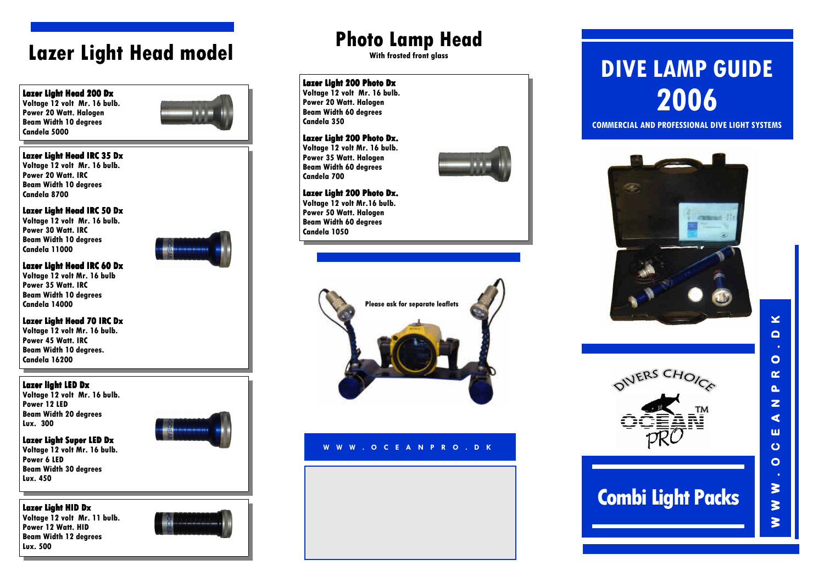## Lazer Light Head model

### Lazer Light Head 200 Dx

 Voltage 12 volt Mr. 16 bulb. Power 20 Watt. Halogen Beam Width 10 degrees Candela 5000



### Lazer Light Head IRC 35 Dx

 Voltage 12 volt Mr. 16 bulb. Power 20 Watt. IRC Beam Width 10 degrees Candela 8700

### Lazer Light Head IRC 50 Dx

Voltage 12 volt Mr. 16 bulb. Power 30 Watt. IRC Beam Width 10 degrees Candela 11000



### Lazer Light Head IRC 60 Dx

Voltage 12 volt Mr. 16 bulb Power 35 Watt. IRC Beam Width 10 degrees Candela 14000

Lazer Light Head 70 IRC Dx Voltage 12 volt Mr. 16 bulb. Power 45 Watt. IRC

 Beam Width 10 degrees. Candela 16200

### Lazer light LED Dx

 Voltage 12 volt Mr. 16 bulb. Power 12 LED Beam Width 20 degrees Lux. 300

### Lazer Light Super LED Dx

 Voltage 12 volt Mr. 16 bulb. Power 6 LED Beam Width 30 degrees Lux. 450

### Lazer Light HID Dx

 Voltage 12 volt Mr. 11 bulb. Power 12 Watt. HID Beam Width 12 degrees Lux. 500



## Photo Lamp Head

With frosted front alass

### Lazer Light 200 Photo Dx

 Voltage 12 volt Mr. 16 bulb. Power 20 Watt. Halogen Beam Width 60 degrees Candela 350

### Lazer Light 200 Photo Dx.

Voltage 12 volt Mr. 16 bulb. Power 35 Watt. Halogen Beam Width 60 degrees Candela 700



#### Lazer Light 200 Photo Dx. Voltage 12 volt Mr.16 bulb.

Power 50 Watt. Halogen Beam Width 60 degrees Candela 1050



### <sup>W</sup> <sup>W</sup> <sup>W</sup> . <sup>O</sup> <sup>C</sup> <sup>E</sup> <sup>A</sup> <sup>N</sup> <sup>P</sup> <sup>R</sup> <sup>O</sup> . <sup>D</sup> <sup>K</sup>

# DIVE LAMP GUIDE2006

COMMERCIAL AND PROFESSIONAL DIVE LIGHT SYSTEMS